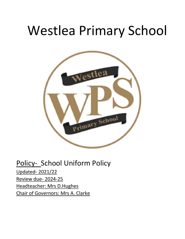# Westlea Primary School



Policy- School Uniform Policy Updated- 2021/22 Review due- 2024-25 Headteacher: Mrs D.Hughes Chair of Governors: Mrs A. Clarke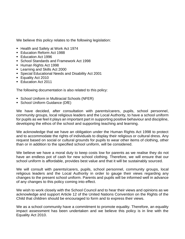We believe this policy relates to the following legislation:

- Health and Safety at Work Act 1974
- Education Reform Act 1988
- Education Act 1996
- School Standards and Framework Act 1998
- Human Rights Act 1998
- Learning and Skills Act 2000
- Special Educational Needs and Disability Act 2001
- Equality Act 2010
- Education Act 2011

The following documentation is also related to this policy:

- School Uniform in Multiracial Schools (NFER)
- School Uniform Guidance (DfE)

We have decided, after consultation with parents/carers, pupils, school personnel, community groups, local religious leaders and the Local Authority, to have a school uniform for pupils as we feel it plays an important part in supporting positive behaviour and discipline, developing the ethos of the school and supporting teaching and learning.

We acknowledge that we have an obligation under the Human Rights Act 1998 to protect and to accommodate the rights of individuals to display their religious or cultural dress. Any request based on social or cultural grounds for pupils to wear other items of clothing, other than or in addition to the specified school uniform, will be considered.

We believe we have a moral duty to keep costs low for parents as we realise they do not have an endless pot of cash for new school clothing. Therefore, we will ensure that our school uniform is affordable, provides best value and that it will be sustainably sourced.

We will consult with parents/carers, pupils, school personnel, community groups, local religious leaders and the Local Authority in order to gauge their views regarding any changes to the present school uniform. Parents and pupils will be informed well in advance of any changes to this policy coming into effect.

We wish to work closely with the School Council and to hear their views and opinions as we acknowledge and support Article 12 of the United Nations Convention on the Rights of the Child that children should be encouraged to form and to express their views.

We as a school community have a commitment to promote equality. Therefore, an equality impact assessment has been undertaken and we believe this policy is in line with the Equality Act 2010.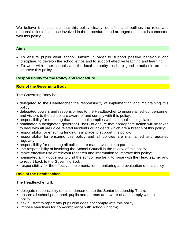We believe it is essential that this policy clearly identifies and outlines the roles and responsibilities of all those involved in the procedures and arrangements that is connected with this policy.

#### **Aims**

- To ensure pupils wear school uniform in order to support positive behaviour and discipline, to develop the school ethos and to support effective teaching and learning.
- To work with other schools and the local authority to share good practice in order to improve this policy.

#### **Responsibility for the Policy and Procedure**

#### **Role of the Governing Body**

The Governing Body has:

- **delegated to the Headteacher the responsibility of implementing and maintaining this** policy;
- delegated powers and responsibilities to the Headteacher to ensure all school personnel and visitors to the school are aware of and comply with this policy;
- responsibility for ensuring that the school complies with all equalities legislation;
- nominated a designated governor (Chair) to ensure that appropriate action will be taken to deal with all prejudice related incidents or incidents which are a breach of this policy;
- responsibility for ensuring funding is in place to support this policy;
- responsibility for ensuring this policy and all policies are maintained and updated regularly;
- responsibility for ensuring all policies are made available to parents;
- the responsibility of involving the School Council in the review of this policy;
- make effective use of relevant research and information to improve this policy;
- nominated a link governor to visit the school regularly, to liaise with the Headteacher and to report back to the Governing Body;
- **responsibility for the effective implementation, monitoring and evaluation of this policy**

#### **Role of the Headteacher**

The Headteacher will:

- delegate responsibility on its endorsement to the Senior Leadership Team;
- ensure all school personnel, pupils and parents are aware of and comply with this policy;
- ask all staff to report any pupil who does not comply with this policy;
- impose sanctions for non-compliance with school uniform;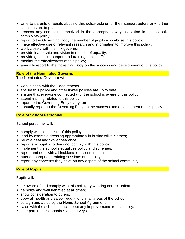- write to parents of pupils abusing this policy asking for their support before any further sanctions are imposed
- process any complaints received in the appropriate way as stated in the school's complaints policy;
- report to the Governing Body the number of pupils who abuse this policy;
- make effective use of relevant research and information to improve this policy;
- work closely with the link governor;
- **•** provide leadership and vision in respect of equality;
- provide quidance, support and training to all staff;
- **•** monitor the effectiveness of this policy;
- **E** annually report to the Governing Body on the success and development of this policy

# **Role of the Nominated Governor**

The Nominated Governor will:

- work closely with the Head teacher;
- ensure this policy and other linked policies are up to date;
- ensure that everyone connected with the school is aware of this policy;
- attend training related to this policy:
- **report to the Governing Body every term;**
- annually report to the Governing Body on the success and development of this policy

# **Role of School Personnel**

School personnel will:

- comply with all aspects of this policy;
- lead by example dressing appropriately in businesslike clothes;
- be of a neat and tidy appearance;
- report any pupil who does not comply with this policy;
- **E** implement the school's equalities policy and schemes;
- report and deal with all incidents of discrimination;
- attend appropriate training sessions on equality;
- report any concerns they have on any aspect of the school community

# **Role of Pupils**

Pupils will:

- be aware of and comply with this policy by wearing correct uniform;
- be polite and well behaved at all times;
- show consideration to others;
- obey all health and safety regulations in all areas of the school;
- co-sign and abide by the Home School Agreement;
- liaise with the school council about any improvements to this policy;
- take part in questionnaires and surveys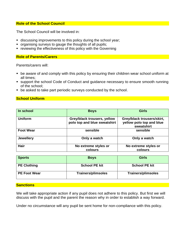#### **Role of the School Council**

The School Council will be involved in:

- **EXEDENT** discussing improvements to this policy during the school year;
- organising surveys to gauge the thoughts of all pupils;
- reviewing the effectiveness of this policy with the Governing

# **Role of Parents/Carers**

Parents/carers will:

- be aware of and comply with this policy by ensuring their children wear school uniform at all times;
- support the school Code of Conduct and guidance necessary to ensure smooth running of the school;
- be asked to take part periodic surveys conducted by the school.

#### **School Uniform**

| In school        | <b>Boys</b>                                                 | <b>Girls</b>                                                         |  |
|------------------|-------------------------------------------------------------|----------------------------------------------------------------------|--|
| <b>Uniform</b>   | Grey/black trousers, yellow<br>polo top and blue sweatshirt | Grey/black trousers/skirt,<br>yellow polo top and blue<br>sweatshirt |  |
| <b>Foot Wear</b> | sensible                                                    | sensible                                                             |  |
| <b>Jewellery</b> | Only a watch                                                | Only a watch                                                         |  |
| <b>Hair</b>      | No extreme styles or<br>colours                             | No extreme styles or<br>colours                                      |  |

| <b>Sports</b>       | <b>Boys</b>               | Girls                     |  |
|---------------------|---------------------------|---------------------------|--|
| <b>PE Clothing</b>  | <b>School PE kit</b>      | <b>School PE kit</b>      |  |
| <b>PE Foot Wear</b> | <b>Trainers/plimsoles</b> | <b>Trainers/plimsoles</b> |  |

#### **Sanctions**

We will take appropriate action if any pupil does not adhere to this policy. But first we will discuss with the pupil and the parent the reason why in order to establish a way forward.

Under no circumstance will any pupil be sent home for non-compliance with this policy.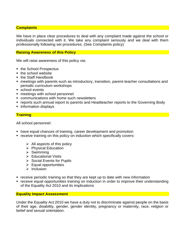### **Complaints**

We have in place clear procedures to deal with any complaint made against the school or individuals connected with it. We take any complaint seriously and we deal with them professionally following set procedures. (See Complaints policy)

### **Raising Awareness of this Policy**

We will raise awareness of this policy via:

- the School Prospectus
- the school website
- the Staff Handbook
- meetings with parents such as introductory, transition, parent-teacher consultations and periodic curriculum workshops
- school events
- meetings with school personnel
- communications with home such newsletters
- reports such annual report to parents and Headteacher reports to the Governing Body
- information displays

# **Training**

All school personnel:

- have equal chances of training, career development and promotion
- receive training on this policy on induction which specifically covers:
	- $\triangleright$  All aspects of this policy
	- ➢ Physical Education
	- ➢ Swimming
	- ➢ Educational Visits
	- ➢ Social Events for Pupils
	- $\triangleright$  Equal opportunities
	- ➢ Inclusion
- receive periodic training so that they are kept up to date with new information
- receive equal opportunities training on induction in order to improve their understanding of the Equality Act 2010 and its implications

#### **Equality Impact Assessment**

Under the Equality Act 2010 we have a duty not to discriminate against people on the basis of their age, disability, gender, gender identity, pregnancy or maternity, race, religion or belief and sexual orientation.